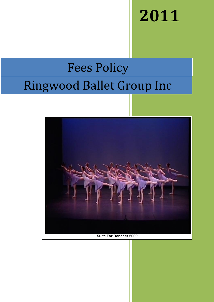# **2011**

## Ringwood Ballet Group Inc Fees Policy



**Suite For Dancers 2009**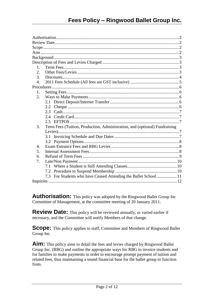| 1.               |               |                                                                            |  |
|------------------|---------------|----------------------------------------------------------------------------|--|
| 2.               |               |                                                                            |  |
| 3.               |               |                                                                            |  |
| $\overline{4}$ . |               |                                                                            |  |
|                  |               |                                                                            |  |
| 1.               |               |                                                                            |  |
| 2.               |               |                                                                            |  |
|                  |               |                                                                            |  |
|                  |               |                                                                            |  |
|                  | $2.3^{\circ}$ |                                                                            |  |
|                  |               |                                                                            |  |
|                  |               |                                                                            |  |
| 3.               |               | Term Fees (Tuition, Production, Administration, and (optional) Fundraising |  |
|                  |               |                                                                            |  |
|                  | 3.1           |                                                                            |  |
|                  | 3.2           |                                                                            |  |
| $\overline{4}$   |               |                                                                            |  |
| 5.               |               |                                                                            |  |
| 6.               |               |                                                                            |  |
| 7.               |               |                                                                            |  |
|                  |               |                                                                            |  |
|                  | 7.2           |                                                                            |  |
|                  |               | 7.3 For Students who have Ceased Attending the Ballet School 11            |  |
|                  |               |                                                                            |  |

<span id="page-1-0"></span>**Authorisation:** This policy was adopted by the Ringwood Ballet Group Inc Committee of Management, at the committee meeting of 20 January 2011.

<span id="page-1-1"></span>**Review Date:** This policy will be reviewed annually, or varied earlier if necessary, and the Committee will notify Members of that change.

<span id="page-1-2"></span>**Scope:** This policy applies to staff, Committee and Members of Ringwood Ballet Group Inc.

<span id="page-1-4"></span><span id="page-1-3"></span>Aim: This policy aims to detail the fees and levies charged by Ringwood Ballet Group Inc. (RBG) and outline the appropriate ways for RBG to invoice students and for families to make payments in order to encourage prompt payment of tuition and related fees, thus maintaining a sound financial base for the ballet group to function from.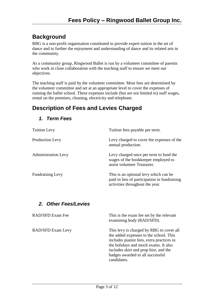## **Background**

RBG is a non-profit organisation constituted to provide expert tuition in the art of dance and to further the enjoyment and understanding of dance and its related arts in the community.

As a community group, Ringwood Ballet is run by a volunteer committee of parents who work in close collaboration with the teaching staff to ensure we meet our objectives.

The teaching staff is paid by the volunteer committee. Most fees are determined by the volunteer committee and set at an appropriate level to cover the expenses of running the ballet school. These expenses include (but are not limited to) staff wages, rental on the premises, cleaning, electricity and telephone.

## <span id="page-2-1"></span><span id="page-2-0"></span>**Description of Fees and Levies Charged**

<span id="page-2-2"></span>

| <b>Tuition Levy</b>        | Tuition fees payable per term.                                                                                                                                                                                                                                      |
|----------------------------|---------------------------------------------------------------------------------------------------------------------------------------------------------------------------------------------------------------------------------------------------------------------|
| Production Levy            | Levy charged to cover the expenses of the<br>annual production.                                                                                                                                                                                                     |
| <b>Administration Levy</b> | Levy charged once per term to fund the<br>wages of the bookkeeper employed to<br>assist volunteer Treasurer.                                                                                                                                                        |
| <b>Fundraising Levy</b>    | This is an optional levy which can be<br>paid in lieu of participation in fundraising<br>activities throughout the year.                                                                                                                                            |
| 2. Other Fees/Levies       |                                                                                                                                                                                                                                                                     |
| RAD/SFD Exam Fee           | This is the exam fee set by the relevant<br>examining body (RAD/SFD).                                                                                                                                                                                               |
| RAD/SFD Exam Levy          | This levy is charged by RBG to cover all<br>the added expenses to the school. This<br>includes pianist fees, extra practices in<br>the holidays and mock exams. It also<br>includes skirt and prop hire, and the<br>badges awarded to all successful<br>candidates. |

#### *1. Term Fees*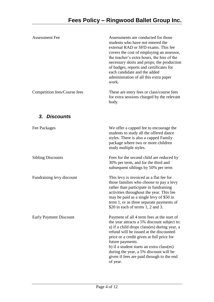<span id="page-3-0"></span>

| <b>Assessment Fee</b>         | Assessments are conducted for those<br>students who have not entered the<br>external RAD or SFD exams. This fee<br>covers the cost of employing an assessor,<br>the teacher's extra hours, the hire of the<br>necessary skirts and props; the production<br>of badges, reports and certificates for<br>each candidate and the added<br>administration of all this extra paper<br>work.                |
|-------------------------------|-------------------------------------------------------------------------------------------------------------------------------------------------------------------------------------------------------------------------------------------------------------------------------------------------------------------------------------------------------------------------------------------------------|
| Competition fees/Course fees  | These are entry fees or class/course fees<br>for extra sessions charged by the relevant<br>body.                                                                                                                                                                                                                                                                                                      |
| 3. Discounts                  |                                                                                                                                                                                                                                                                                                                                                                                                       |
| Fee Packages                  | We offer a capped fee to encourage the<br>students to study all the offered dance<br>styles. There is also a capped Family<br>package where two or more children<br>study multiple styles.                                                                                                                                                                                                            |
| <b>Sibling Discounts</b>      | Fees for the second child are reduced by<br>30% per term, and for the third and<br>subsequent siblings by 50% per term                                                                                                                                                                                                                                                                                |
| Fundraising levy discount     | This levy is invoiced as a flat fee for<br>those families who choose to pay a levy<br>rather than participate in fundraising<br>activities throughout the year. This fee<br>may be paid as a single levy of \$50 in<br>term 1, or as three separate payments of<br>\$20 in each of terms 1, 2 and 3.                                                                                                  |
| <b>Early Payment Discount</b> | Payment of all 4 term fees at the start of<br>the year attracts a 5% discount subject to:<br>a) if a child drops class(es) during year, a<br>refund will be issued at the discounted<br>price or a credit given at full price for<br>future payments.<br>b) if a student starts an extra class(es)<br>during the year, a 5% discount will be<br>given if fees are paid through to the end<br>of year. |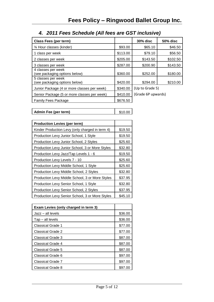<span id="page-4-0"></span>

| <b>Class Fees (per term)</b>                        |          | <b>30% disc</b>    | <b>50% disc</b> |
|-----------------------------------------------------|----------|--------------------|-----------------|
| 3⁄4 Hour classes (kinder)                           | \$93.00  | \$65.10            | \$46.50         |
| 1 class per week                                    | \$113.00 | \$79.10            | \$56.50         |
| 2 classes per week                                  | \$205.00 | \$143.50           | \$102.50        |
| 3 classes per week                                  | \$287.00 | \$200.90           | \$143.50        |
| 4 classes per week<br>(see packaging options below) | \$360.00 | \$252.00           | \$180.00        |
| 5 classes per week<br>(see packaging options below) | \$420.00 | \$294.00           | \$210.00        |
| Junior Package (4 or more classes per week)         | \$340.00 | (Up to Grade 5)    |                 |
| Senior Package (5 or more classes per week)         | \$410.00 | (Grade 6P upwards) |                 |
| Family Fees Package                                 | \$676.50 |                    |                 |

## *4. 2011 Fees Schedule (All fees are GST inclusive)*

| \$10.00<br>Admin Fee (per term) |
|---------------------------------|
|---------------------------------|

| <b>Production Levies (per term)</b>             |         |
|-------------------------------------------------|---------|
| Kinder Production Levy (only charged in term 4) | \$19.50 |
| Production Levy Junior School, 1 Style          | \$19.50 |
| Production Levy Junior School, 2 Styles         | \$25.60 |
| Production Levy Junior School, 3 or More Styles | \$32.80 |
| Production Levy Jazz/Tap Levels 1 - 6           | \$19.50 |
| Production Levy Levels 7 - 10                   | \$25.60 |
| Production Levy Middle School, 1 Style          | \$25.60 |
| Production Levy Middle School, 2 Styles         | \$32.80 |
| Production Levy Middle School, 3 or More Styles | \$37.95 |
| Production Levy Senior School, 1 Style          | \$32.80 |
| Production Levy Senior School, 2 Styles         | \$37.95 |
| Production Levy Senior School, 3 or More Styles | \$45.10 |

| Exam Levies (only charged in term 3) |         |
|--------------------------------------|---------|
| Jazz - all levels                    | \$36.00 |
| Tap – all levels                     | \$36.00 |
| <b>Classical Grade 1</b>             | \$77.00 |
| <b>Classical Grade 2</b>             | \$77.00 |
| Classical Grade 3                    | \$87.00 |
| <b>Classical Grade 4</b>             | \$87.00 |
| <b>Classical Grade 5</b>             | \$87.00 |
| Classical Grade 6                    | \$97.00 |
| <b>Classical Grade 7</b>             | \$97.00 |
| Classical Grade 8                    | \$97.00 |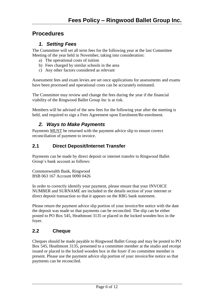#### <span id="page-5-1"></span><span id="page-5-0"></span>**Procedures**

#### *1. Setting Fees*

The Committee will set all term fees for the following year at the last Committee Meeting of the year held in November, taking into consideration:

- a) The operational costs of tuition
- b) Fees charged by similar schools in the area
- c) Any other factors considered as relevant

Assessment fees and exam levies are set once applications for assessments and exams have been processed and operational costs can be accurately estimated.

The Committee may review and change the fees during the year if the financial viability of the Ringwood Ballet Group Inc is at risk.

Members will be advised of the new fees for the following year after the meeting is held, and required to sign a Fees Agreement upon Enrolment/Re-enrolment.

#### <span id="page-5-2"></span>*2. Ways to Make Payments*

Payments MUST be returned with the payment advice slip to ensure correct reconciliation of payment to invoice.

#### <span id="page-5-3"></span>**2.1 Direct Deposit/Internet Transfer**

Payments can be made by direct deposit or internet transfer to Ringwood Ballet Group's bank account as follows:

Commonwealth Bank, Ringwood BSB 063 167 Account 0090 0426

In order to correctly identify your payment, please ensure that your INVOICE NUMBER and SURNAME are included in the details section of your internet or direct deposit transaction so that it appears on the RBG bank statement.

Please return the payment advice slip portion of your invoice/fee notice with the date the deposit was made so that payments can be reconciled. The slip can be either posted to PO Box 545, Heathmont 3135 or placed in the locked wooden box in the foyer.

#### <span id="page-5-4"></span>**2.2 Cheque**

Cheques should be made payable to Ringwood Ballet Group and may be posted to PO Box 545, Heathmont 3135, presented to a committee member at the studio and receipt issued or placed in the locked wooden box in the foyer if no committee member is present. Please use the payment advice slip portion of your invoice/fee notice so that payments can be reconciled.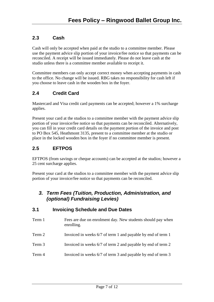#### <span id="page-6-0"></span>**2.3 Cash**

Cash will only be accepted when paid at the studio to a committee member. Please use the payment advice slip portion of your invoice/fee notice so that payments can be reconciled. A receipt will be issued immediately. Please do not leave cash at the studio unless there is a committee member available to receipt it.

Committee members can only accept correct money when accepting payments in cash to the office. No change will be issued. RBG takes no responsibility for cash left if you choose to leave cash in the wooden box in the foyer.

#### <span id="page-6-1"></span>**2.4 Credit Card**

Mastercard and Visa credit card payments can be accepted; however a 1% surcharge applies.

Present your card at the studios to a committee member with the payment advice slip portion of your invoice/fee notice so that payments can be reconciled. Alternatively, you can fill in your credit card details on the payment portion of the invoice and post to PO Box 545, Heathmont 3135, present to a committee member at the studio or place in the locked wooden box in the foyer if no committee member is present.

#### <span id="page-6-2"></span>**2.5 EFTPOS**

EFTPOS (from savings or cheque accounts) can be accepted at the studios; however a 25 cent surcharge applies.

Present your card at the studios to a committee member with the payment advice slip portion of your invoice/fee notice so that payments can be reconciled.

#### <span id="page-6-3"></span>*3. Term Fees (Tuition, Production, Administration, and (optional) Fundraising Levies)*

#### <span id="page-6-4"></span>**3.1 Invoicing Schedule and Due Dates**

- Term 1 Fees are due on enrolment day. New students should pay when enrolling.
- Term 2 Invoiced in weeks 6/7 of term 1 and payable by end of term 1
- Term 3 Invoiced in weeks 6/7 of term 2 and payable by end of term 2
- Term 4 Invoiced in weeks 6/7 of term 3 and payable by end of term 3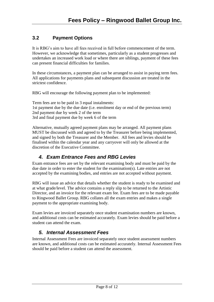#### <span id="page-7-0"></span>**3.2 Payment Options**

It is RBG's aim to have all fees received in full before commencement of the term. However, we acknowledge that sometimes, particularly as a student progresses and undertakes an increased work load or where there are siblings, payment of these fees can present financial difficulties for families.

In these circumstances, a payment plan can be arranged to assist in paying term fees. All applications for payments plans and subsequent discussion are treated in the strictest confidence.

RBG will encourage the following payment plan to be implemented:

Term fees are to be paid in 3 equal instalments: 1st payment due by the due date (i.e. enrolment day or end of the previous term) 2nd payment due by week 2 of the term 3rd and final payment due by week 6 of the term

Alternative, mutually agreed payment plans may be arranged. All payment plans MUST be discussed with and agreed to by the Treasurer before being implemented, and signed by both the Treasurer and the Member. All fees and levies should be finalised within the calendar year and any carryover will only be allowed at the discretion of the Executive Committee.

#### <span id="page-7-1"></span>*4. Exam Entrance Fees and RBG Levies*

Exam entrance fees are set by the relevant examining body and must be paid by the due date in order to enter the student for the examination(s). Late entries are not accepted by the examining bodies, and entries are not accepted without payment.

RBG will issue an advice that details whether the student is ready to be examined and at what grade/level. The advice contains a reply slip to be returned to the Artistic Director, and an invoice for the relevant exam fee. Exam fees are to be made payable to Ringwood Ballet Group. RBG collates all the exam entries and makes a single payment to the appropriate examining body.

Exam levies are invoiced separately once student examination numbers are known, and additional costs can be estimated accurately. Exam levies should be paid before a student can attend the exam.

#### <span id="page-7-2"></span>*5. Internal Assessment Fees*

Internal Assessment Fees are invoiced separately once student assessment numbers are known, and additional costs can be estimated accurately. Internal Assessment Fees should be paid before a student can attend the assessment.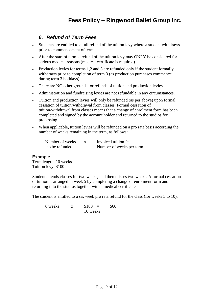#### <span id="page-8-0"></span>*6. Refund of Term Fees*

- Students are entitled to a full refund of the tuition levy where a student withdraws prior to commencement of term.
- After the start of term, a refund of the tuition levy may ONLY be considered for serious medical reasons (medical certificate is required).
- Production levies for terms 1,2 and 3 are refunded only if the student formally withdraws prior to completion of term 3 (as production purchases commence during term 3 holidays).
- There are NO other grounds for refunds of tuition and production levies.
- Administration and fundraising levies are not refundable in any circumstances.
- Tuition and production levies will only be refunded (as per above) upon formal cessation of tuition/withdrawal from classes. Formal cessation of tuition/withdrawal from classes means that a change of enrolment form has been completed and signed by the account holder and returned to the studios for processing.
- When applicable, tuition levies will be refunded on a pro rata basis according the number of weeks remaining in the term, as follows:

| Number of weeks | invoiced tuition fee     |
|-----------------|--------------------------|
| to be refunded  | Number of weeks per term |

#### **Example**

Term length: 10 weeks Tuition levy: \$100

Student attends classes for two weeks, and then misses two weeks. A formal cessation of tuition is arranged in week 5 by completing a change of enrolment form and returning it to the studios together with a medical certificate.

The student is entitled to a six week pro rata refund for the class (for weeks 5 to 10).

6 weeks  $x = $100 = $60$ 10 weeks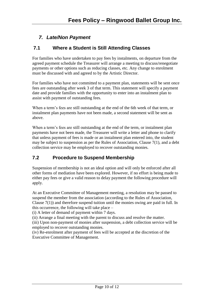#### <span id="page-9-0"></span>*7. Late/Non Payment*

#### <span id="page-9-1"></span>**7.1 Where a Student is Still Attending Classes**

For families who have undertaken to pay fees by instalments, on departure from the agreed payment schedule the Treasurer will arrange a meeting to discuss/renegotiate payments or other options such as reducing classes, etc. Any change to enrolment must be discussed with and agreed to by the Artistic Director.

For families who have not committed to a payment plan, statements will be sent once fees are outstanding after week 3 of that term. This statement will specify a payment date and provide families with the opportunity to enter into an instalment plan to assist with payment of outstanding fees.

When a term's fees are still outstanding at the end of the 6th week of that term, or instalment plan payments have not been made, a second statement will be sent as above.

When a term's fees are still outstanding at the end of the term, or instalment plan payments have not been made, the Treasurer will write a letter and phone to clarify that unless payment of fees is made or an instalment plan entered into, the student may be subject to suspension as per the Rules of Association, Clause 7(1), and a debt collection service may be employed to recover outstanding monies.

#### <span id="page-9-2"></span>**7.2 Procedure to Suspend Membership**

Suspension of membership is not an ideal option and will only be enforced after all other forms of mediation have been explored. However, if no effort is being made to either pay fees or give a valid reason to delay payment the following procedure will apply.

At an Executive Committee of Management meeting, a resolution may be passed to suspend the member from the association (according to the Rules of Association, Clause  $7(1)$ ) and therefore suspend tuition until the monies owing are paid in full. In this occurrence, the following will take place –

(i) A letter of demand of payment within 7 days.

(ii) Arrange a final meeting with the parent to discuss and resolve the matter.

(iii) Upon non-payment of monies after suspension, a debt collection service will be employed to recover outstanding monies.

(iv) Re-enrolment after payment of fees will be accepted at the discretion of the Executive Committee of Management.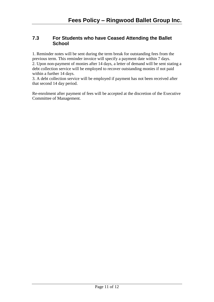#### <span id="page-10-0"></span>**7.3 For Students who have Ceased Attending the Ballet School**

1. Reminder notes will be sent during the term break for outstanding fees from the previous term. This reminder invoice will specify a payment date within 7 days. 2. Upon non-payment of monies after 14 days, a letter of demand will be sent stating a debt collection service will be employed to recover outstanding monies if not paid within a further 14 days.

3. A debt collection service will be employed if payment has not been received after that second 14 day period.

Re-enrolment after payment of fees will be accepted at the discretion of the Executive Committee of Management.